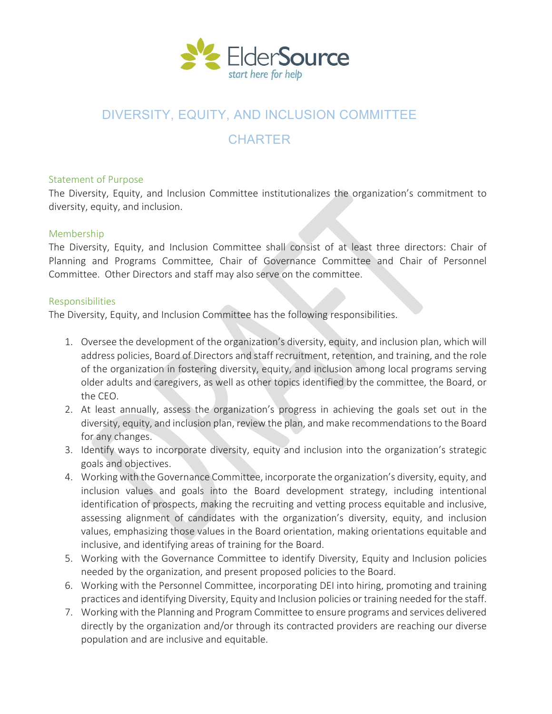

## DIVERSITY, EQUITY, AND INCLUSION COMMITTEE

# **CHARTER**

#### Statement of Purpose

The Diversity, Equity, and Inclusion Committee institutionalizes the organization's commitment to diversity, equity, and inclusion.

### Membership

The Diversity, Equity, and Inclusion Committee shall consist of at least three directors: Chair of Planning and Programs Committee, Chair of Governance Committee and Chair of Personnel Committee. Other Directors and staff may also serve on the committee.

### Responsibilities

The Diversity, Equity, and Inclusion Committee has the following responsibilities.

- 1. Oversee the development of the organization's diversity, equity, and inclusion plan, which will address policies, Board of Directors and staff recruitment, retention, and training, and the role of the organization in fostering diversity, equity, and inclusion among local programs serving older adults and caregivers, as well as other topics identified by the committee, the Board, or the CEO.
- 2. At least annually, assess the organization's progress in achieving the goals set out in the diversity, equity, and inclusion plan, review the plan, and make recommendations to the Board for any changes.
- 3. Identify ways to incorporate diversity, equity and inclusion into the organization's strategic goals and objectives.
- 4. Working with the Governance Committee, incorporate the organization's diversity, equity, and inclusion values and goals into the Board development strategy, including intentional identification of prospects, making the recruiting and vetting process equitable and inclusive, assessing alignment of candidates with the organization's diversity, equity, and inclusion values, emphasizing those values in the Board orientation, making orientations equitable and inclusive, and identifying areas of training for the Board.
- 5. Working with the Governance Committee to identify Diversity, Equity and Inclusion policies needed by the organization, and present proposed policies to the Board.
- 6. Working with the Personnel Committee, incorporating DEI into hiring, promoting and training practices and identifying Diversity, Equity and Inclusion policies or training needed for the staff.
- 7. Working with the Planning and Program Committee to ensure programs and services delivered directly by the organization and/or through its contracted providers are reaching our diverse population and are inclusive and equitable.